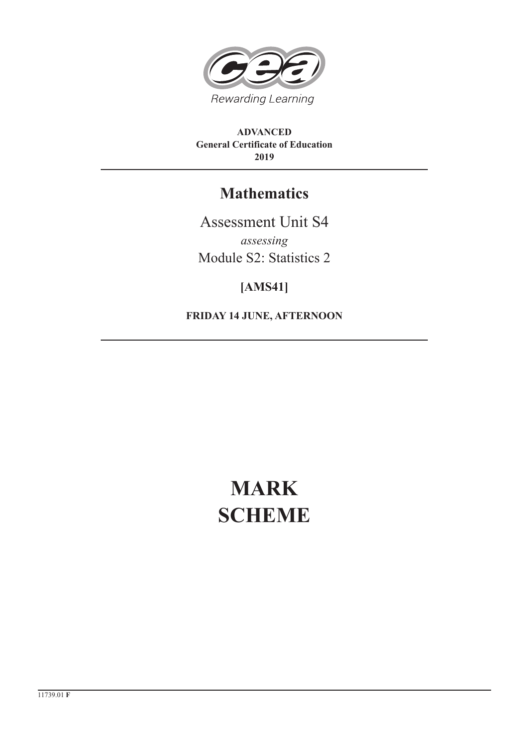

**ADVANCED General Certificate of Education 2019**

## **Mathematics**

Assessment Unit S4 *assessing* Module S2: Statistics 2

### **[AMS41]**

**FRIDAY 14 JUNE, AFTERNOON**

# **MARK SCHEME**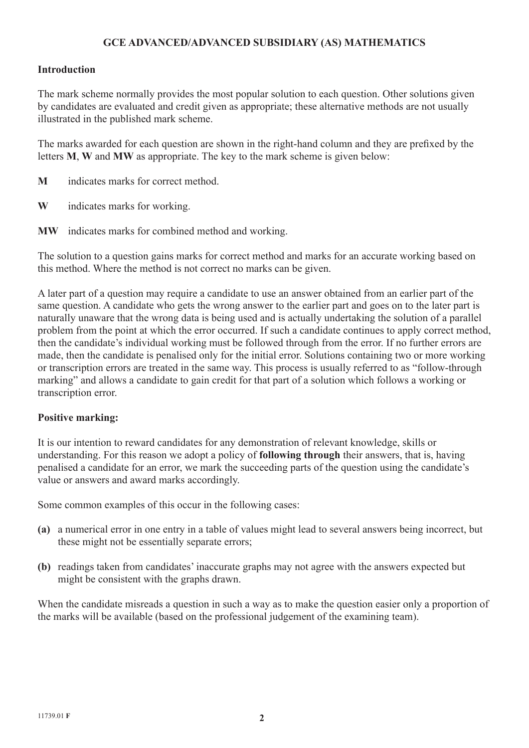#### **GCE ADVANCED/ADVANCED SUBSIDIARY (AS) MATHEMATICS**

#### **Introduction**

The mark scheme normally provides the most popular solution to each question. Other solutions given by candidates are evaluated and credit given as appropriate; these alternative methods are not usually illustrated in the published mark scheme.

The marks awarded for each question are shown in the right-hand column and they are prefixed by the letters **M**, **W** and **MW** as appropriate. The key to the mark scheme is given below:

- **M** indicates marks for correct method.
- **W** indicates marks for working.
- **MW** indicates marks for combined method and working.

The solution to a question gains marks for correct method and marks for an accurate working based on this method. Where the method is not correct no marks can be given.

A later part of a question may require a candidate to use an answer obtained from an earlier part of the same question. A candidate who gets the wrong answer to the earlier part and goes on to the later part is naturally unaware that the wrong data is being used and is actually undertaking the solution of a parallel problem from the point at which the error occurred. If such a candidate continues to apply correct method, then the candidate's individual working must be followed through from the error. If no further errors are made, then the candidate is penalised only for the initial error. Solutions containing two or more working or transcription errors are treated in the same way. This process is usually referred to as "follow-through marking" and allows a candidate to gain credit for that part of a solution which follows a working or transcription error.

#### **Positive marking:**

It is our intention to reward candidates for any demonstration of relevant knowledge, skills or understanding. For this reason we adopt a policy of **following through** their answers, that is, having penalised a candidate for an error, we mark the succeeding parts of the question using the candidate's value or answers and award marks accordingly.

Some common examples of this occur in the following cases:

- **(a)** a numerical error in one entry in a table of values might lead to several answers being incorrect, but these might not be essentially separate errors;
- **(b)** readings taken from candidates' inaccurate graphs may not agree with the answers expected but might be consistent with the graphs drawn.

When the candidate misreads a question in such a way as to make the question easier only a proportion of the marks will be available (based on the professional judgement of the examining team).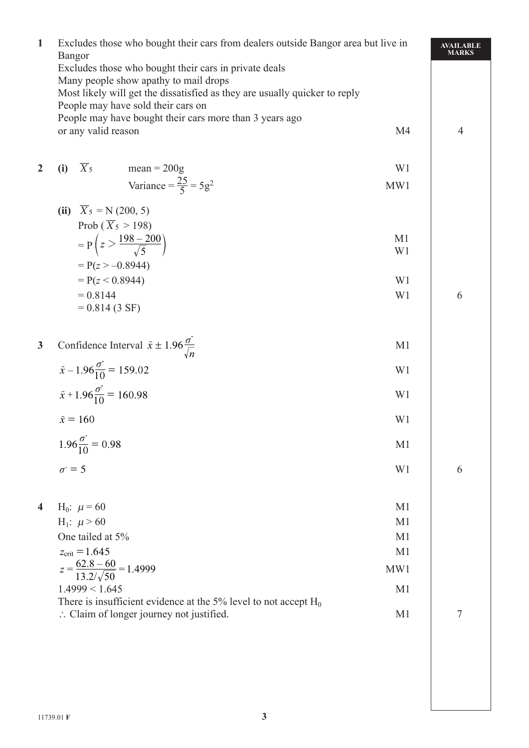| $\mathbf{1}$            | Excludes those who bought their cars from dealers outside Bangor area but live in<br><b>Bangor</b>               |                |  |  |  |
|-------------------------|------------------------------------------------------------------------------------------------------------------|----------------|--|--|--|
|                         | Excludes those who bought their cars in private deals                                                            |                |  |  |  |
|                         | Many people show apathy to mail drops                                                                            |                |  |  |  |
|                         | Most likely will get the dissatisfied as they are usually quicker to reply<br>People may have sold their cars on |                |  |  |  |
|                         | People may have bought their cars more than 3 years ago                                                          |                |  |  |  |
|                         | or any valid reason<br>M <sub>4</sub>                                                                            | $\overline{4}$ |  |  |  |
|                         |                                                                                                                  |                |  |  |  |
| $\overline{2}$          | $\overline{X}_5$<br>$mean = 200g$<br>W1<br>(i)                                                                   |                |  |  |  |
|                         | Variance = $\frac{25}{5}$ = 5g <sup>2</sup><br>MW1                                                               |                |  |  |  |
|                         | $\overline{X}_5 = N (200, 5)$<br>(ii)                                                                            |                |  |  |  |
|                         | Prob ( $\overline{X}_5 > 198$ )                                                                                  |                |  |  |  |
|                         | M <sub>1</sub><br>$= P\left(z > \frac{198-200}{\sqrt{5}}\right)$                                                 |                |  |  |  |
|                         | W <sub>1</sub>                                                                                                   |                |  |  |  |
|                         | $= P(z > -0.8944)$                                                                                               |                |  |  |  |
|                         | $= P(z < 0.8944)$<br>W <sub>1</sub>                                                                              |                |  |  |  |
|                         | $= 0.8144$<br>W1<br>$= 0.814(3 SF)$                                                                              | 6              |  |  |  |
|                         |                                                                                                                  |                |  |  |  |
| $\mathbf{3}$            |                                                                                                                  |                |  |  |  |
|                         | Confidence Interval $\bar{x} \pm 1.96 \frac{\sigma}{\sqrt{n}}$<br>M <sub>1</sub>                                 |                |  |  |  |
|                         | $\bar{x} - 1.96 \frac{\sigma}{10} = 159.02$<br>W <sub>1</sub>                                                    |                |  |  |  |
|                         | $\bar{x}$ + 1.96 $\frac{\sigma}{10}$ = 160.98<br>W <sub>1</sub>                                                  |                |  |  |  |
|                         | $\bar{x} = 160$<br>W <sub>1</sub>                                                                                |                |  |  |  |
|                         | $1.96\frac{\sigma}{10} = 0.98$<br>M <sub>1</sub>                                                                 |                |  |  |  |
|                         | $\sigma = 5$<br>W1                                                                                               | 6              |  |  |  |
|                         |                                                                                                                  |                |  |  |  |
| $\overline{\mathbf{4}}$ | $H_0$ : $\mu$ = 60<br>M <sub>1</sub>                                                                             |                |  |  |  |
|                         | H <sub>1</sub> : $\mu$ > 60<br>M <sub>1</sub>                                                                    |                |  |  |  |
|                         | One tailed at 5%<br>M <sub>1</sub>                                                                               |                |  |  |  |
|                         | $z_{\text{crit}} = 1.645$<br>M <sub>1</sub>                                                                      |                |  |  |  |
|                         | $z = \frac{62.8 - 60}{13.2/\sqrt{50}} = 1.4999$<br>MW1                                                           |                |  |  |  |
|                         | 1.4999 < 1.645<br>M <sub>1</sub>                                                                                 |                |  |  |  |
|                         | There is insufficient evidence at the 5% level to not accept $H_0$                                               |                |  |  |  |
|                         | $\therefore$ Claim of longer journey not justified.<br>M <sub>1</sub>                                            | 7              |  |  |  |
|                         |                                                                                                                  |                |  |  |  |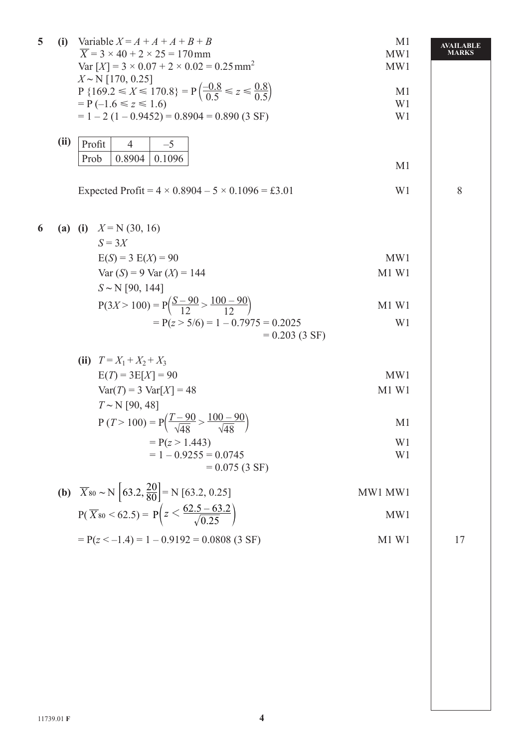| 5 | (i)  | Variable $X = A + A + A + B + B$<br>$\overline{X}$ = 3 × 40 + 2 × 25 = 170 mm<br>Var $[X] = 3 \times 0.07 + 2 \times 0.02 = 0.25$ mm <sup>2</sup><br>$X \sim N$ [170, 0.25]<br>P {169.2 $\leq X \leq 170.8$ } = P $\left(\frac{-0.8}{0.5} \leq z \leq \frac{0.8}{0.5}\right)$<br>$= P(-1.6 \le z \le 1.6)$<br>$= 1 - 2 (1 - 0.9452) = 0.8904 = 0.890 (3 SF)$ | M <sub>1</sub><br>MW1<br>MW1<br>M <sub>1</sub><br>W1<br>W <sub>1</sub> | <b>AVAILABLE</b><br><b>MARKS</b> |
|---|------|--------------------------------------------------------------------------------------------------------------------------------------------------------------------------------------------------------------------------------------------------------------------------------------------------------------------------------------------------------------|------------------------------------------------------------------------|----------------------------------|
|   | (ii) | Profit<br>$-5$<br>4<br>0.8904<br>0.1096<br>Prob                                                                                                                                                                                                                                                                                                              | M <sub>1</sub>                                                         |                                  |
|   |      | Expected Profit = $4 \times 0.8904 - 5 \times 0.1096 = \text{\pounds}3.01$                                                                                                                                                                                                                                                                                   | W <sub>1</sub>                                                         | 8                                |
| 6 |      | (a) (i) $X = N(30, 16)$<br>$S = 3X$                                                                                                                                                                                                                                                                                                                          |                                                                        |                                  |
|   |      | $E(S) = 3 E(X) = 90$                                                                                                                                                                                                                                                                                                                                         | MW1                                                                    |                                  |
|   |      | $Var(S) = 9 Var(X) = 144$                                                                                                                                                                                                                                                                                                                                    | M1 W1                                                                  |                                  |
|   |      | $S \sim N$ [90, 144]                                                                                                                                                                                                                                                                                                                                         |                                                                        |                                  |
|   |      | $P(3X > 100) = P\left(\frac{S-90}{12} > \frac{100-90}{12}\right)$                                                                                                                                                                                                                                                                                            | M1 W1                                                                  |                                  |
|   |      | $= P(z > 5/6) = 1 - 0.7975 = 0.2025$<br>$= 0.203(3 S)$                                                                                                                                                                                                                                                                                                       | W <sub>1</sub>                                                         |                                  |
|   |      | (ii) $T = X_1 + X_2 + X_3$                                                                                                                                                                                                                                                                                                                                   |                                                                        |                                  |
|   |      | $E(T) = 3E[X] = 90$                                                                                                                                                                                                                                                                                                                                          | MW1                                                                    |                                  |
|   |      | $Var(T) = 3 Var[X] = 48$                                                                                                                                                                                                                                                                                                                                     | M1 W1                                                                  |                                  |
|   |      | $T \sim N$ [90, 48]<br>$P(T > 100) = P\left(\frac{T-90}{\sqrt{48}} > \frac{100-90}{\sqrt{48}}\right)$                                                                                                                                                                                                                                                        | M <sub>1</sub>                                                         |                                  |
|   |      | $= P(z > 1.443)$                                                                                                                                                                                                                                                                                                                                             | W <sub>1</sub>                                                         |                                  |
|   |      | $= 1 - 0.9255 = 0.0745$<br>$= 0.075(3 S)$                                                                                                                                                                                                                                                                                                                    | W <sub>1</sub>                                                         |                                  |
|   |      | <b>(b)</b> $\overline{X}_{80} \sim N \left  63.2, \frac{20}{80} \right  = N \left[ 63.2, 0.25 \right]$                                                                                                                                                                                                                                                       | MW1 MW1                                                                |                                  |
|   |      | $P(\overline{X}_{80} < 62.5) = P\left(z < \frac{62.5 - 63.2}{\sqrt{0.25}}\right)$                                                                                                                                                                                                                                                                            | MW1                                                                    |                                  |
|   |      | $= P(z < -1.4) = 1 - 0.9192 = 0.0808$ (3 SF)                                                                                                                                                                                                                                                                                                                 | M1 W1                                                                  | 17                               |
|   |      |                                                                                                                                                                                                                                                                                                                                                              |                                                                        |                                  |
|   |      |                                                                                                                                                                                                                                                                                                                                                              |                                                                        |                                  |